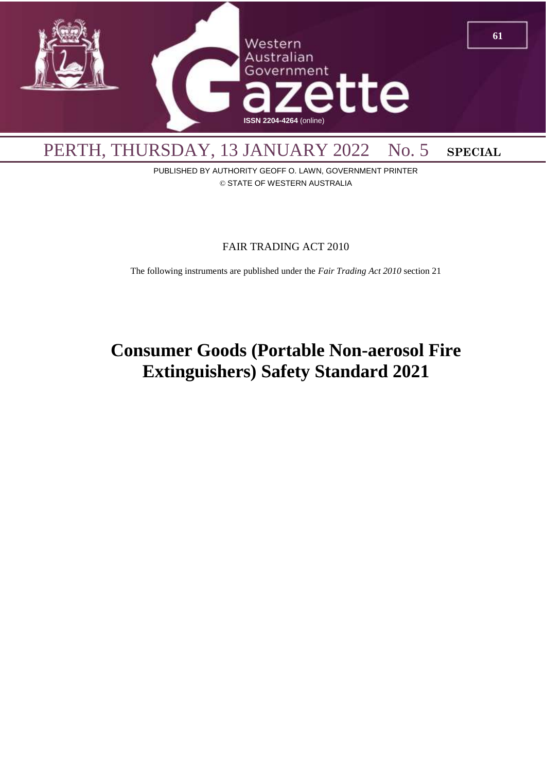

PUBLISHED BY AUTHORITY GEOFF O. LAWN, GOVERNMENT PRINTER © STATE OF WESTERN AUSTRALIA

### FAIR TRADING ACT 2010

The following instruments are published under the *Fair Trading Act 2010* section 21

# **Consumer Goods (Portable Non-aerosol Fire Extinguishers) Safety Standard 2021**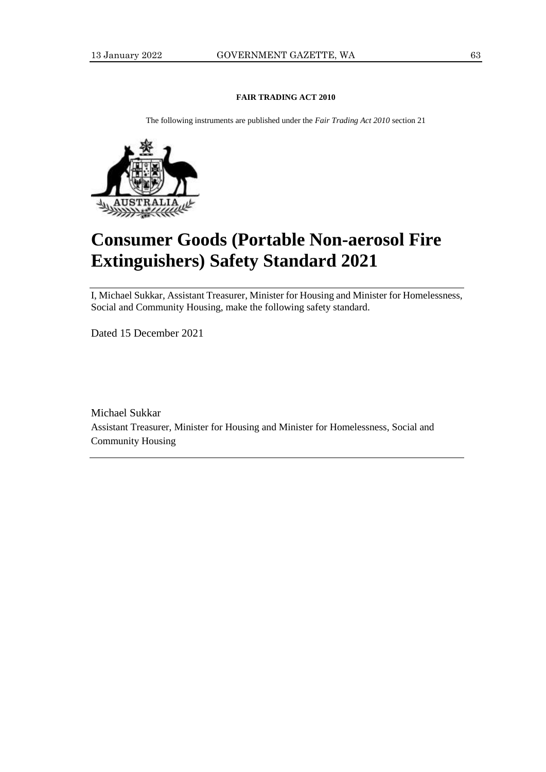#### **FAIR TRADING ACT 2010**

The following instruments are published under the *Fair Trading Act 2010* section 21



# **Consumer Goods (Portable Non-aerosol Fire Extinguishers) Safety Standard 2021**

I, Michael Sukkar, Assistant Treasurer, Minister for Housing and Minister for Homelessness, Social and Community Housing, make the following safety standard.

Dated 15 December 2021

Michael Sukkar Assistant Treasurer, Minister for Housing and Minister for Homelessness, Social and Community Housing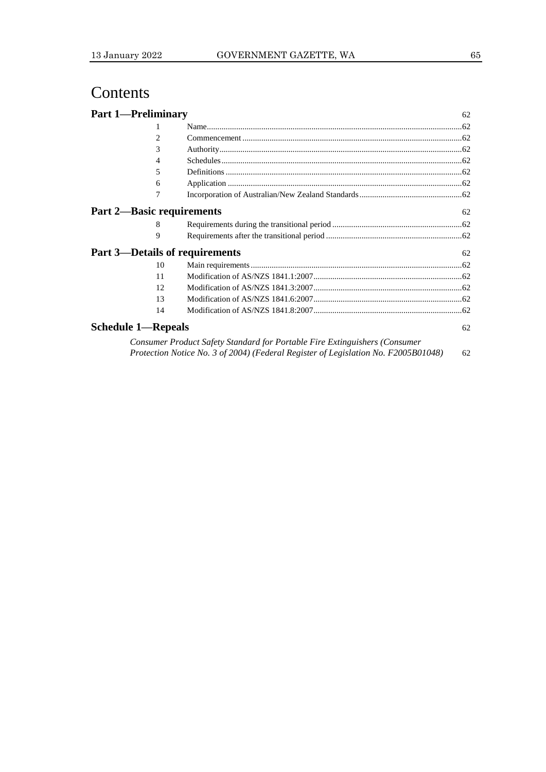## Contents

| <b>Part 1-Preliminary</b>        |    |                                                  | 62 |
|----------------------------------|----|--------------------------------------------------|----|
|                                  | 1  |                                                  |    |
|                                  | 2  |                                                  |    |
|                                  | 3  |                                                  |    |
|                                  | 4  |                                                  |    |
|                                  | 5  |                                                  |    |
|                                  | 6  |                                                  |    |
|                                  | 7  |                                                  |    |
| <b>Part 2—Basic requirements</b> |    |                                                  | 62 |
|                                  | 8  |                                                  |    |
|                                  | 9  |                                                  |    |
|                                  |    | <b>Part 3—Details of requirements</b>            | 62 |
|                                  | 10 |                                                  |    |
|                                  | 11 |                                                  |    |
|                                  | 12 |                                                  |    |
|                                  | 13 |                                                  |    |
|                                  | 14 |                                                  |    |
| <b>Schedule 1—Repeals</b>        |    |                                                  | 62 |
|                                  |    | $\alpha$ bigged if $\alpha$ biltimetric $\alpha$ |    |

| Consumer Product Safety Standard for Portable Fire Extinguishers (Consumer         |    |
|------------------------------------------------------------------------------------|----|
| Protection Notice No. 3 of 2004) (Federal Register of Legislation No. F2005B01048) | 62 |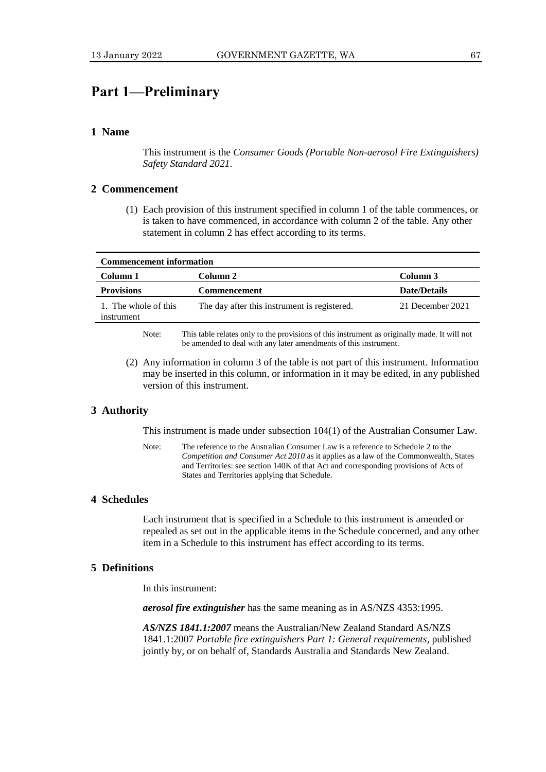## **Part 1—Preliminary**

#### **1 Name**

This instrument is the *Consumer Goods (Portable Non-aerosol Fire Extinguishers) Safety Standard 2021*.

#### **2 Commencement**

(1) Each provision of this instrument specified in column 1 of the table commences, or is taken to have commenced, in accordance with column 2 of the table. Any other statement in column 2 has effect according to its terms.

| <b>Commencement information</b>    |                                              |                     |  |  |  |
|------------------------------------|----------------------------------------------|---------------------|--|--|--|
| Column 1                           | Column 2                                     | Column 3            |  |  |  |
| <b>Provisions</b>                  | <b>Commencement</b>                          | <b>Date/Details</b> |  |  |  |
| 1. The whole of this<br>instrument | The day after this instrument is registered. | 21 December 2021    |  |  |  |
|                                    |                                              |                     |  |  |  |

Note: This table relates only to the provisions of this instrument as originally made. It will not be amended to deal with any later amendments of this instrument.

(2) Any information in column 3 of the table is not part of this instrument. Information may be inserted in this column, or information in it may be edited, in any published version of this instrument.

#### **3 Authority**

This instrument is made under subsection 104(1) of the Australian Consumer Law.

Note: The reference to the Australian Consumer Law is a reference to Schedule 2 to the *Competition and Consumer Act 2010* as it applies as a law of the Commonwealth, States and Territories: see section 140K of that Act and corresponding provisions of Acts of States and Territories applying that Schedule.

#### **4 Schedules**

Each instrument that is specified in a Schedule to this instrument is amended or repealed as set out in the applicable items in the Schedule concerned, and any other item in a Schedule to this instrument has effect according to its terms.

#### **5 Definitions**

In this instrument:

*aerosol fire extinguisher* has the same meaning as in AS/NZS 4353:1995.

*AS/NZS 1841.1:2007* means the Australian/New Zealand Standard AS/NZS 1841.1:2007 *Portable fire extinguishers Part 1: General requirements*, published jointly by, or on behalf of, Standards Australia and Standards New Zealand.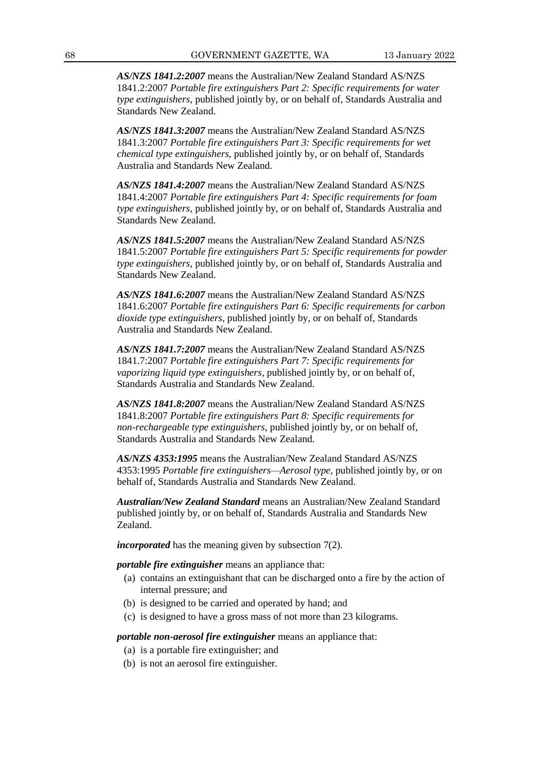*AS/NZS 1841.2:2007* means the Australian/New Zealand Standard AS/NZS 1841.2:2007 *Portable fire extinguishers Part 2: Specific requirements for water type extinguishers*, published jointly by, or on behalf of, Standards Australia and Standards New Zealand.

*AS/NZS 1841.3:2007* means the Australian/New Zealand Standard AS/NZS 1841.3:2007 *Portable fire extinguishers Part 3: Specific requirements for wet chemical type extinguishers*, published jointly by, or on behalf of, Standards Australia and Standards New Zealand.

*AS/NZS 1841.4:2007* means the Australian/New Zealand Standard AS/NZS 1841.4:2007 *Portable fire extinguishers Part 4: Specific requirements for foam type extinguishers*, published jointly by, or on behalf of, Standards Australia and Standards New Zealand.

*AS/NZS 1841.5:2007* means the Australian/New Zealand Standard AS/NZS 1841.5:2007 *Portable fire extinguishers Part 5: Specific requirements for powder type extinguishers*, published jointly by, or on behalf of, Standards Australia and Standards New Zealand.

*AS/NZS 1841.6:2007* means the Australian/New Zealand Standard AS/NZS 1841.6:2007 *Portable fire extinguishers Part 6: Specific requirements for carbon dioxide type extinguishers*, published jointly by, or on behalf of, Standards Australia and Standards New Zealand.

*AS/NZS 1841.7:2007* means the Australian/New Zealand Standard AS/NZS 1841.7:2007 *Portable fire extinguishers Part 7: Specific requirements for vaporizing liquid type extinguishers*, published jointly by, or on behalf of, Standards Australia and Standards New Zealand.

*AS/NZS 1841.8:2007* means the Australian/New Zealand Standard AS/NZS 1841.8:2007 *Portable fire extinguishers Part 8: Specific requirements for non-rechargeable type extinguishers*, published jointly by, or on behalf of, Standards Australia and Standards New Zealand.

*AS/NZS 4353:1995* means the Australian/New Zealand Standard AS/NZS 4353:1995 *Portable fire extinguishers—Aerosol type*, published jointly by, or on behalf of, Standards Australia and Standards New Zealand.

*Australian/New Zealand Standard* means an Australian/New Zealand Standard published jointly by, or on behalf of, Standards Australia and Standards New Zealand.

*incorporated* has the meaning given by subsection 7(2).

*portable fire extinguisher* means an appliance that:

- (a) contains an extinguishant that can be discharged onto a fire by the action of internal pressure; and
- (b) is designed to be carried and operated by hand; and
- (c) is designed to have a gross mass of not more than 23 kilograms.

*portable non-aerosol fire extinguisher* means an appliance that:

- (a) is a portable fire extinguisher; and
- (b) is not an aerosol fire extinguisher.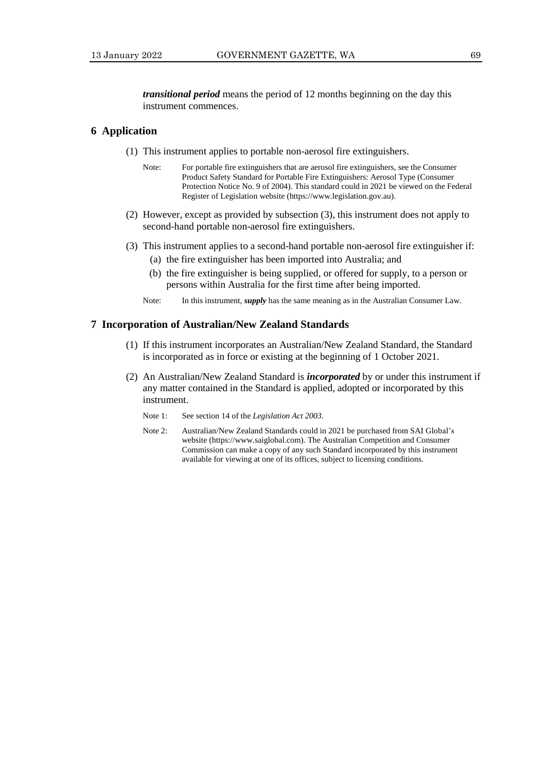*transitional period* means the period of 12 months beginning on the day this instrument commences.

#### **6 Application**

- (1) This instrument applies to portable non-aerosol fire extinguishers.
	- Note: For portable fire extinguishers that are aerosol fire extinguishers, see the Consumer Product Safety Standard for Portable Fire Extinguishers: Aerosol Type (Consumer Protection Notice No. 9 of 2004). This standard could in 2021 be viewed on the Federal Register of Legislation website (https://www.legislation.gov.au).
- (2) However, except as provided by subsection (3), this instrument does not apply to second-hand portable non-aerosol fire extinguishers.
- (3) This instrument applies to a second-hand portable non-aerosol fire extinguisher if:
	- (a) the fire extinguisher has been imported into Australia; and
	- (b) the fire extinguisher is being supplied, or offered for supply, to a person or persons within Australia for the first time after being imported.
	- Note: In this instrument, *supply* has the same meaning as in the Australian Consumer Law.

#### **7****Incorporation of Australian/New Zealand Standards**

- (1) If this instrument incorporates an Australian/New Zealand Standard, the Standard is incorporated as in force or existing at the beginning of 1 October 2021.
- (2) An Australian/New Zealand Standard is *incorporated* by or under this instrument if any matter contained in the Standard is applied, adopted or incorporated by this instrument.
	- Note 1: See section 14 of the *Legislation Act 2003*.
	- Note 2: Australian/New Zealand Standards could in 2021 be purchased from SAI Global's website (https://www.saiglobal.com). The Australian Competition and Consumer Commission can make a copy of any such Standard incorporated by this instrument available for viewing at one of its offices, subject to licensing conditions.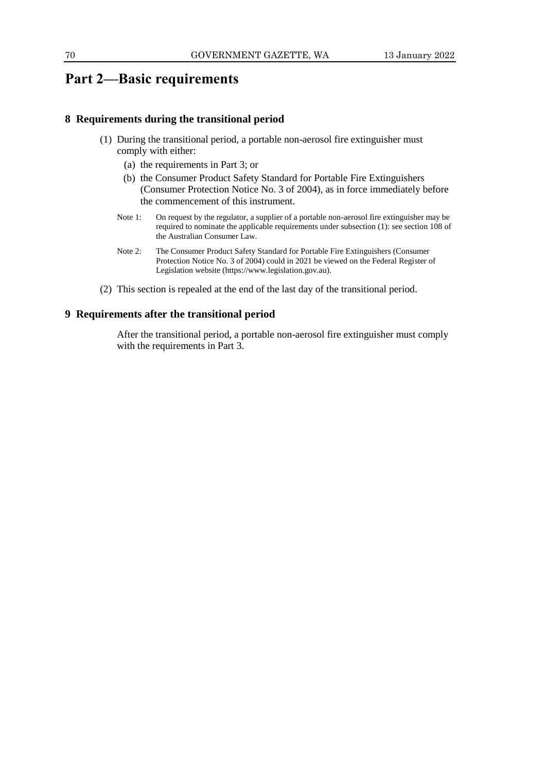## **Part 2—Basic requirements**

#### **8 Requirements during the transitional period**

- (1) During the transitional period, a portable non-aerosol fire extinguisher must comply with either:
	- (a) the requirements in Part 3; or
	- (b) the Consumer Product Safety Standard for Portable Fire Extinguishers (Consumer Protection Notice No. 3 of 2004), as in force immediately before the commencement of this instrument.
	- Note 1: On request by the regulator, a supplier of a portable non-aerosol fire extinguisher may be required to nominate the applicable requirements under subsection (1): see section 108 of the Australian Consumer Law.
	- Note 2: The Consumer Product Safety Standard for Portable Fire Extinguishers (Consumer Protection Notice No. 3 of 2004) could in 2021 be viewed on the Federal Register of Legislation website (https://www.legislation.gov.au).
- (2) This section is repealed at the end of the last day of the transitional period.

#### **9 Requirements after the transitional period**

After the transitional period, a portable non-aerosol fire extinguisher must comply with the requirements in Part 3.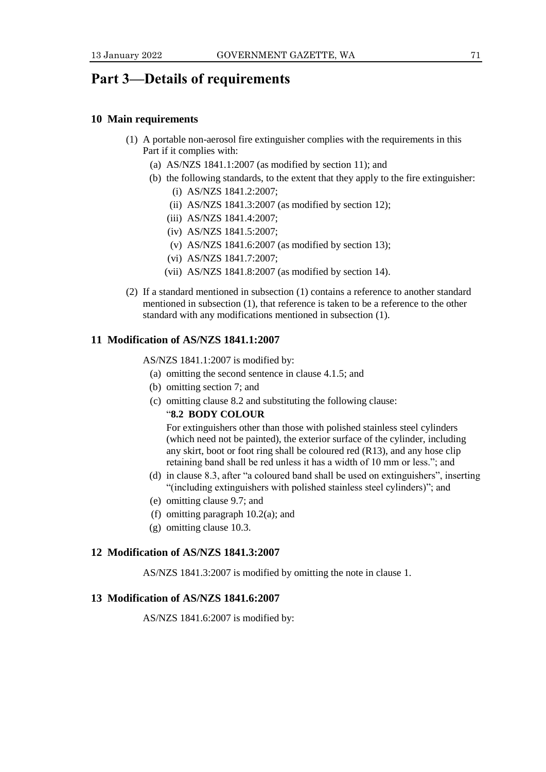## **Part 3—Details of requirements**

#### **10 Main requirements**

- (1) A portable non-aerosol fire extinguisher complies with the requirements in this Part if it complies with:
	- (a) AS/NZS 1841.1:2007 (as modified by section 11); and
	- (b) the following standards, to the extent that they apply to the fire extinguisher: (i) AS/NZS 1841.2:2007;
		- (ii) AS/NZS 1841.3:2007 (as modified by section 12);
		- (iii) AS/NZS 1841.4:2007;
		- (iv) AS/NZS 1841.5:2007;
		- (v) AS/NZS 1841.6:2007 (as modified by section 13);
		- (vi) AS/NZS 1841.7:2007;
		- (vii) AS/NZS 1841.8:2007 (as modified by section 14).
- (2) If a standard mentioned in subsection (1) contains a reference to another standard mentioned in subsection (1), that reference is taken to be a reference to the other standard with any modifications mentioned in subsection (1).

#### **11 Modification of AS/NZS 1841.1:2007**

AS/NZS 1841.1:2007 is modified by:

- (a) omitting the second sentence in clause 4.1.5; and
- (b) omitting section 7; and
- (c) omitting clause 8.2 and substituting the following clause:

#### "**8.2 BODY COLOUR**

For extinguishers other than those with polished stainless steel cylinders (which need not be painted), the exterior surface of the cylinder, including any skirt, boot or foot ring shall be coloured red (R13), and any hose clip retaining band shall be red unless it has a width of 10 mm or less."; and

- (d) in clause 8.3, after "a coloured band shall be used on extinguishers", inserting "(including extinguishers with polished stainless steel cylinders)"; and
- (e) omitting clause 9.7; and
- (f) omitting paragraph  $10.2(a)$ ; and
- (g) omitting clause 10.3.

#### **12 Modification of AS/NZS 1841.3:2007**

AS/NZS 1841.3:2007 is modified by omitting the note in clause 1.

#### **13 Modification of AS/NZS 1841.6:2007**

AS/NZS 1841.6:2007 is modified by: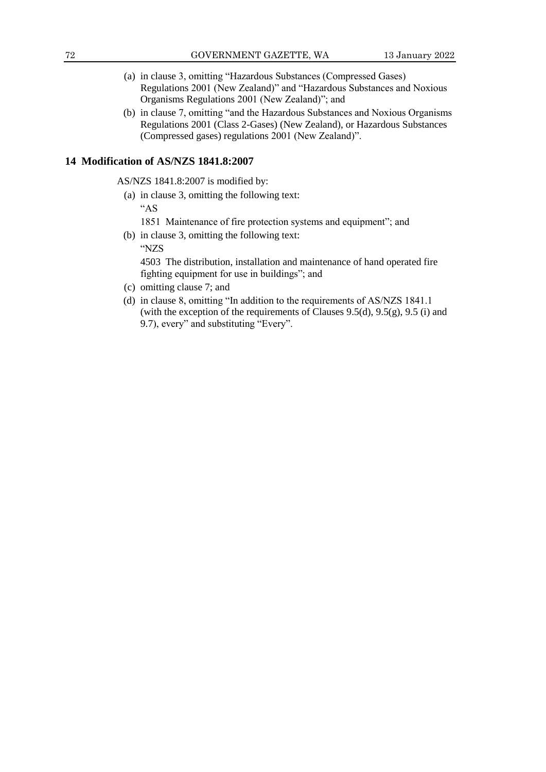- (a) in clause 3, omitting "Hazardous Substances (Compressed Gases) Regulations 2001 (New Zealand)" and "Hazardous Substances and Noxious Organisms Regulations 2001 (New Zealand)"; and
- (b) in clause 7, omitting "and the Hazardous Substances and Noxious Organisms Regulations 2001 (Class 2-Gases) (New Zealand), or Hazardous Substances (Compressed gases) regulations 2001 (New Zealand)".

#### **14 Modification of AS/NZS 1841.8:2007**

AS/NZS 1841.8:2007 is modified by:

(a) in clause 3, omitting the following text:

"AS

- 1851 Maintenance of fire protection systems and equipment"; and
- (b) in clause 3, omitting the following text: "NZS

4503 The distribution, installation and maintenance of hand operated fire fighting equipment for use in buildings"; and

- (c) omitting clause 7; and
- (d) in clause 8, omitting "In addition to the requirements of AS/NZS 1841.1 (with the exception of the requirements of Clauses 9.5(d), 9.5(g), 9.5 (i) and 9.7), every" and substituting "Every".